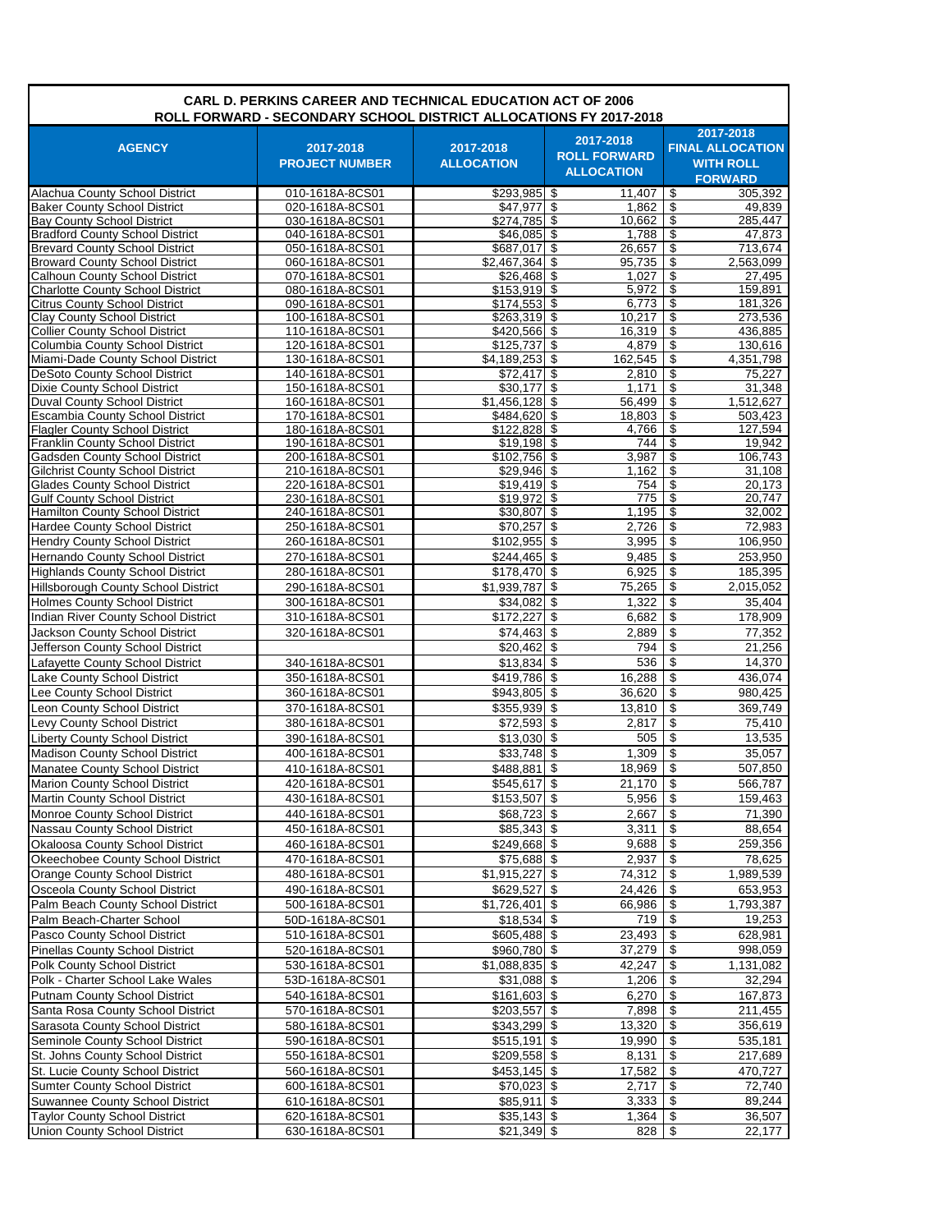| <b>CARL D. PERKINS CAREER AND TECHNICAL EDUCATION ACT OF 2006</b><br>ROLL FORWARD - SECONDARY SCHOOL DISTRICT ALLOCATIONS FY 2017-2018 |                                    |                                |                                                       |                                                                            |  |  |
|----------------------------------------------------------------------------------------------------------------------------------------|------------------------------------|--------------------------------|-------------------------------------------------------|----------------------------------------------------------------------------|--|--|
| <b>AGENCY</b>                                                                                                                          | 2017-2018<br><b>PROJECT NUMBER</b> | 2017-2018<br><b>ALLOCATION</b> | 2017-2018<br><b>ROLL FORWARD</b><br><b>ALLOCATION</b> | 2017-2018<br><b>FINAL ALLOCATION</b><br><b>WITH ROLL</b><br><b>FORWARD</b> |  |  |
| Alachua County School District                                                                                                         | 010-1618A-8CS01                    | $$293,985$ \$                  | 11,407                                                | 305.392<br>-\$                                                             |  |  |
| <b>Baker County School District</b>                                                                                                    | 020-1618A-8CS01                    | $$47,977$ \\$                  | 1,862                                                 | \$<br>49,839                                                               |  |  |
| <b>Bay County School District</b><br><b>Bradford County School District</b>                                                            | 030-1618A-8CS01<br>040-1618A-8CS01 | $$274,785$ \$<br>$$46,085$ \$  | 10,662<br>1,788                                       | \$<br>285,447<br>\$<br>47,873                                              |  |  |
| <b>Brevard County School District</b>                                                                                                  | 050-1618A-8CS01                    | \$687.017 \$                   | 26.657                                                | \$<br>713.674                                                              |  |  |
| <b>Broward County School District</b>                                                                                                  | 060-1618A-8CS01                    | $$2,467,364$ \$                | 95.735                                                | \$<br>2.563.099                                                            |  |  |
| Calhoun County School District                                                                                                         | 070-1618A-8CS01                    |                                | 1.027                                                 | \$<br>27,495                                                               |  |  |
| <b>Charlotte County School District</b>                                                                                                | 080-1618A-8CS01                    | $$153,919$ \$                  | 5,972                                                 | \$<br>159.891                                                              |  |  |
| <b>Citrus County School District</b><br><b>Clay County School District</b>                                                             | 090-1618A-8CS01<br>100-1618A-8CS01 | $$174,553$ \$<br>$$263,319$ \$ | 6,773<br>10,217                                       | \$<br>181.326<br>\$<br>273,536                                             |  |  |
| <b>Collier County School District</b>                                                                                                  | 110-1618A-8CS01                    | $$420,566$ \$                  | 16,319                                                | \$<br>436,885                                                              |  |  |
| Columbia County School District                                                                                                        | 120-1618A-8CS01                    | $$125,737$ \$                  | 4,879                                                 | \$<br>130,616                                                              |  |  |
| Miami-Dade County School District                                                                                                      | 130-1618A-8CS01                    | $$4,189,253$ \$                | 162,545                                               | \$<br>4,351,798                                                            |  |  |
| DeSoto County School District                                                                                                          | 140-1618A-8CS01                    | $$72,417$ \\$                  | 2,810                                                 | \$<br>75,227                                                               |  |  |
| <b>Dixie County School District</b>                                                                                                    | 150-1618A-8CS01                    | $$30,177$ \$                   | 1.171                                                 | \$<br>31,348                                                               |  |  |
| <b>Duval County School District</b>                                                                                                    | 160-1618A-8CS01                    | $$1,456,128$ \$                | 56,499                                                | \$<br>1,512,627                                                            |  |  |
| <b>Escambia County School District</b><br><b>Flagler County School District</b>                                                        | 170-1618A-8CS01<br>180-1618A-8CS01 | \$484,620 \$<br>$$122,828$ \$  | 18,803<br>4,766                                       | \$<br>503,423<br>\$<br>127,594                                             |  |  |
| Franklin County School District                                                                                                        | 190-1618A-8CS01                    | $$19,198$ \$                   | 744                                                   | \$<br>19,942                                                               |  |  |
| <b>Gadsden County School District</b>                                                                                                  | 200-1618A-8CS01                    | $$102,756$ \$                  | 3,987                                                 | \$<br>106,743                                                              |  |  |
| Gilchrist County School District                                                                                                       | 210-1618A-8CS01                    | $$29,946$ \$                   | 1,162                                                 | \$<br>31,108                                                               |  |  |
| <b>Glades County School District</b>                                                                                                   | 220-1618A-8CS01                    | $$19,419$ \$                   | 754                                                   | \$<br>20.173                                                               |  |  |
| <b>Gulf County School District</b>                                                                                                     | 230-1618A-8CS01                    | $$19,972$ \$                   | 775                                                   | \$<br>20,747                                                               |  |  |
| <b>Hamilton County School District</b>                                                                                                 | 240-1618A-8CS01                    | \$30,807 \$                    | 1,195                                                 | \$<br>32,002                                                               |  |  |
| Hardee County School District                                                                                                          | 250-1618A-8CS01<br>260-1618A-8CS01 | $$70,257$ \$<br>$$102,955$ \$  | 2,726                                                 | \$<br>72.983                                                               |  |  |
| <b>Hendry County School District</b><br>Hernando County School District                                                                | 270-1618A-8CS01                    | $$244,465$ \$                  | 3,995<br>9,485                                        | \$<br>106,950<br>\$<br>253,950                                             |  |  |
| <b>Highlands County School District</b>                                                                                                | 280-1618A-8CS01                    | $$178,470$ \$                  | 6,925                                                 | \$<br>185,395                                                              |  |  |
| Hillsborough County School District                                                                                                    | 290-1618A-8CS01                    | $$1,939,787$ \$                | 75,265                                                | \$<br>2,015,052                                                            |  |  |
| <b>Holmes County School District</b>                                                                                                   | 300-1618A-8CS01                    | $$34,082$ \$                   | 1,322                                                 | \$<br>35,404                                                               |  |  |
| Indian River County School District                                                                                                    | 310-1618A-8CS01                    | $$172,227$ \\$                 | 6,682                                                 | \$<br>178,909                                                              |  |  |
| Jackson County School District                                                                                                         | 320-1618A-8CS01                    | $\sqrt{574,463}$ \$            | 2,889                                                 | \$<br>77,352                                                               |  |  |
| Jefferson County School District                                                                                                       |                                    | $$20,462$ \$                   | 794                                                   | \$<br>21,256                                                               |  |  |
| Lafayette County School District                                                                                                       | 340-1618A-8CS01                    | $$13,834$ \$                   | 536                                                   | \$<br>14,370                                                               |  |  |
| Lake County School District                                                                                                            | 350-1618A-8CS01                    | \$419,786 \$                   | 16,288                                                | \$<br>436,074                                                              |  |  |
| Lee County School District                                                                                                             | 360-1618A-8CS01                    | $$943,805$ \$                  | 36,620                                                | \$<br>980,425                                                              |  |  |
| Leon County School District                                                                                                            | 370-1618A-8CS01                    | $$355,939$ \$                  | 13,810                                                | $\overline{\mathcal{S}}$<br>369,749                                        |  |  |
| Levy County School District                                                                                                            | 380-1618A-8CS01                    | $$72,593$ \$                   | 2,817                                                 | \$<br>75,410                                                               |  |  |
| <b>Liberty County School District</b>                                                                                                  | 390-1618A-8CS01                    | $$13,030$ \$                   | 505                                                   | $\overline{\mathcal{E}}$<br>13,535                                         |  |  |
| Madison County School District                                                                                                         | 400-1618A-8CS01                    | \$33,748                       | \$<br>1,309                                           | \$<br>35,057                                                               |  |  |
| Manatee County School District                                                                                                         | 410-1618A-8CS01                    | \$488,881                      | \$<br>18,969                                          | \$<br>507,850                                                              |  |  |
| Marion County School District<br>Martin County School District                                                                         | 420-1618A-8CS01                    | $$545,617$ \$<br>$$153,507$ \$ | $21,170$ \$                                           | 566,787<br>\$<br>159,463                                                   |  |  |
| Monroe County School District                                                                                                          | 430-1618A-8CS01<br>440-1618A-8CS01 | $$68,723$ \$                   | 5,956<br>2,667                                        | \$<br>71,390                                                               |  |  |
| Nassau County School District                                                                                                          | 450-1618A-8CS01                    | $$85,343$ \\$                  | 3,311                                                 | \$<br>88,654                                                               |  |  |
| Okaloosa County School District                                                                                                        | 460-1618A-8CS01                    |                                | 9,688                                                 | \$<br>259,356                                                              |  |  |
| Okeechobee County School District                                                                                                      | 470-1618A-8CS01                    | \$75,688 \$                    | 2,937                                                 | \$<br>$\overline{78,625}$                                                  |  |  |
| Orange County School District                                                                                                          | 480-1618A-8CS01                    | $$1,915,227$ \$                | 74,312                                                | \$<br>1,989,539                                                            |  |  |
| Osceola County School District                                                                                                         | 490-1618A-8CS01                    | $$629,527$ \$                  | 24,426                                                | 653,953<br>\$                                                              |  |  |
| Palm Beach County School District                                                                                                      | 500-1618A-8CS01                    | $$1,726,401$ \$                | 66,986                                                | \$<br>1,793,387                                                            |  |  |
| Palm Beach-Charter School                                                                                                              | 50D-1618A-8CS01                    | $$18,534$ \$                   | 719                                                   | \$<br>19,253                                                               |  |  |
| Pasco County School District                                                                                                           | 510-1618A-8CS01                    | $$605,488$ \$                  | 23,493                                                | \$<br>628,981                                                              |  |  |
| <b>Pinellas County School District</b>                                                                                                 | 520-1618A-8CS01                    | \$960,780 \$                   | 37,279                                                | \$<br>998,059                                                              |  |  |
| Polk County School District                                                                                                            | 530-1618A-8CS01                    | $$1,088,835$ \$                | 42,247                                                | \$<br>1,131,082                                                            |  |  |
| Polk - Charter School Lake Wales                                                                                                       | 53D-1618A-8CS01                    | \$31,088 \$                    | 1,206                                                 | \$<br>32,294                                                               |  |  |
| Putnam County School District                                                                                                          | 540-1618A-8CS01                    | $$161,603$ \$                  | 6,270                                                 | \$<br>167,873                                                              |  |  |
| Santa Rosa County School District                                                                                                      | 570-1618A-8CS01                    | $$203,557$ \$                  | 7,898                                                 | \$<br>211,455                                                              |  |  |
| Sarasota County School District<br>Seminole County School District                                                                     | 580-1618A-8CS01                    | $$343,299$ \$                  | 13,320<br>19,990                                      | \$<br>356,619<br>\$<br>535,181                                             |  |  |
| St. Johns County School District                                                                                                       | 590-1618A-8CS01<br>550-1618A-8CS01 | $$515,191$ \$<br>\$209,558 \$  | 8,131                                                 | \$<br>217,689                                                              |  |  |
| St. Lucie County School District                                                                                                       | 560-1618A-8CS01                    | $$453,145$ \$                  | 17,582                                                | \$<br>470,727                                                              |  |  |
| <b>Sumter County School District</b>                                                                                                   | 600-1618A-8CS01                    | $$70,023$ \$                   | 2,717                                                 | \$<br>72,740                                                               |  |  |
| Suwannee County School District                                                                                                        | 610-1618A-8CS01                    | $$85,911$ \$                   | 3,333                                                 | \$<br>89,244                                                               |  |  |
| <b>Taylor County School District</b>                                                                                                   | 620-1618A-8CS01                    | $$35,143$ \$                   | 1,364                                                 | $\overline{\mathbf{e}}$<br>36,507                                          |  |  |
| <b>Union County School District</b>                                                                                                    | 630-1618A-8CS01                    | $$21,349$ \$                   | 828                                                   | \$<br>22,177                                                               |  |  |